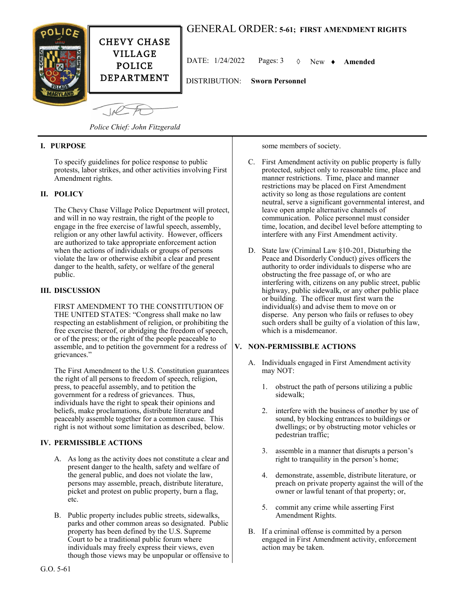

# GENERAL ORDER: **5-61; FIRST AMENDMENT RIGHTS**

DATE:  $1/24/2022$  Pages:  $3 \quad \lozenge$  New  $\blacklozenge$  **Amended** 

Joe

*Police Chief: John Fitzgerald*

# **I. PURPOSE**

To specify guidelines for police response to public protests, labor strikes, and other activities involving First Amendment rights.

## **II. POLICY**

The Chevy Chase Village Police Department will protect, and will in no way restrain, the right of the people to engage in the free exercise of lawful speech, assembly, religion or any other lawful activity. However, officers are authorized to take appropriate enforcement action when the actions of individuals or groups of persons violate the law or otherwise exhibit a clear and present danger to the health, safety, or welfare of the general public.

### **III. DISCUSSION**

FIRST AMENDMENT TO THE CONSTITUTION OF THE UNITED STATES: "Congress shall make no law respecting an establishment of religion, or prohibiting the free exercise thereof, or abridging the freedom of speech, or of the press; or the right of the people peaceable to assemble, and to petition the government for a redress of grievances."

The First Amendment to the U.S. Constitution guarantees the right of all persons to freedom of speech, religion, press, to peaceful assembly, and to petition the government for a redress of grievances. Thus, individuals have the right to speak their opinions and beliefs, make proclamations, distribute literature and peaceably assemble together for a common cause. This right is not without some limitation as described, below.

# **IV. PERMISSIBLE ACTIONS**

- A. As long as the activity does not constitute a clear and present danger to the health, safety and welfare of the general public, and does not violate the law, persons may assemble, preach, distribute literature, picket and protest on public property, burn a flag, etc.
- B. Public property includes public streets, sidewalks, parks and other common areas so designated. Public property has been defined by the U.S. Supreme Court to be a traditional public forum where individuals may freely express their views, even though those views may be unpopular or offensive to

some members of society.

- C. First Amendment activity on public property is fully protected, subject only to reasonable time, place and manner restrictions. Time, place and manner restrictions may be placed on First Amendment activity so long as those regulations are content neutral, serve a significant governmental interest, and leave open ample alternative channels of communication. Police personnel must consider time, location, and decibel level before attempting to interfere with any First Amendment activity.
- D. State law (Criminal Law §10-201, Disturbing the Peace and Disorderly Conduct) gives officers the authority to order individuals to disperse who are obstructing the free passage of, or who are interfering with, citizens on any public street, public highway, public sidewalk, or any other public place or building. The officer must first warn the individual(s) and advise them to move on or disperse. Any person who fails or refuses to obey such orders shall be guilty of a violation of this law, which is a misdemeanor.

## **V. NON-PERMISSIBLE ACTIONS**

- A. Individuals engaged in First Amendment activity may NOT:
	- 1. obstruct the path of persons utilizing a public sidewalk;
	- 2. interfere with the business of another by use of sound, by blocking entrances to buildings or dwellings; or by obstructing motor vehicles or pedestrian traffic;
	- 3. assemble in a manner that disrupts a person's right to tranquility in the person's home;
	- 4. demonstrate, assemble, distribute literature, or preach on private property against the will of the owner or lawful tenant of that property; or,
	- 5. commit any crime while asserting First Amendment Rights.
- B. If a criminal offense is committed by a person engaged in First Amendment activity, enforcement action may be taken.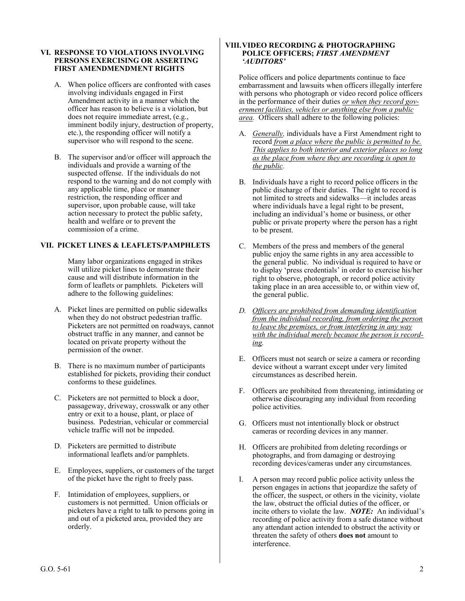#### **VI. RESPONSE TO VIOLATIONS INVOLVING PERSONS EXERCISING OR ASSERTING FIRST AMENDMENDMENT RIGHTS**

- A. When police officers are confronted with cases involving individuals engaged in First Amendment activity in a manner which the officer has reason to believe is a violation, but does not require immediate arrest, (e.g., imminent bodily injury, destruction of property, etc.), the responding officer will notify a supervisor who will respond to the scene.
- B. The supervisor and/or officer will approach the individuals and provide a warning of the suspected offense. If the individuals do not respond to the warning and do not comply with any applicable time, place or manner restriction, the responding officer and supervisor, upon probable cause, will take action necessary to protect the public safety, health and welfare or to prevent the commission of a crime.

### **VII. PICKET LINES & LEAFLETS/PAMPHLETS**

Many labor organizations engaged in strikes will utilize picket lines to demonstrate their cause and will distribute information in the form of leaflets or pamphlets. Picketers will adhere to the following guidelines:

- A. Picket lines are permitted on public sidewalks when they do not obstruct pedestrian traffic. Picketers are not permitted on roadways, cannot obstruct traffic in any manner, and cannot be located on private property without the permission of the owner.
- B. There is no maximum number of participants established for pickets, providing their conduct conforms to these guidelines.
- C. Picketers are not permitted to block a door, passageway, driveway, crosswalk or any other entry or exit to a house, plant, or place of business. Pedestrian, vehicular or commercial vehicle traffic will not be impeded.
- D. Picketers are permitted to distribute informational leaflets and/or pamphlets.
- E. Employees, suppliers, or customers of the target of the picket have the right to freely pass.
- F. Intimidation of employees, suppliers, or customers is not permitted. Union officials or picketers have a right to talk to persons going in and out of a picketed area, provided they are orderly.

#### **VIII.VIDEO RECORDING & PHOTOGRAPHING POLICE OFFICERS;** *FIRST AMENDMENT 'AUDITORS'*

Police officers and police departments continue to face embarrassment and lawsuits when officers illegally interfere with persons who photograph or video record police officers in the performance of their duties *or when they record government facilities, vehicles or anything else from a public area.* Officers shall adhere to the following policies:

- A. *Generally,* individuals have a First Amendment right to record *from a place where the public is permitted to be. This applies to both interior and exterior places so long as the place from where they are recording is open to the public.*
- B. Individuals have a right to record police officers in the public discharge of their duties. The right to record is not limited to streets and sidewalks—it includes areas where individuals have a legal right to be present, including an individual's home or business, or other public or private property where the person has a right to be present.
- C. Members of the press and members of the general public enjoy the same rights in any area accessible to the general public. No individual is required to have or to display 'press credentials' in order to exercise his/her right to observe, photograph, or record police activity taking place in an area accessible to, or within view of, the general public.
- *D. Officers are prohibited from demanding identification from the individual recording, from ordering the person to leave the premises, or from interfering in any way with the individual merely because the person is recording.*
- E. Officers must not search or seize a camera or recording device without a warrant except under very limited circumstances as described herein.
- F. Officers are prohibited from threatening, intimidating or otherwise discouraging any individual from recording police activities.
- G. Officers must not intentionally block or obstruct cameras or recording devices in any manner.
- H. Officers are prohibited from deleting recordings or photographs, and from damaging or destroying recording devices/cameras under any circumstances.
- I. A person may record public police activity unless the person engages in actions that jeopardize the safety of the officer, the suspect, or others in the vicinity, violate the law, obstruct the official duties of the officer, or incite others to violate the law. *NOTE:* An individual's recording of police activity from a safe distance without any attendant action intended to obstruct the activity or threaten the safety of others **does not** amount to interference.